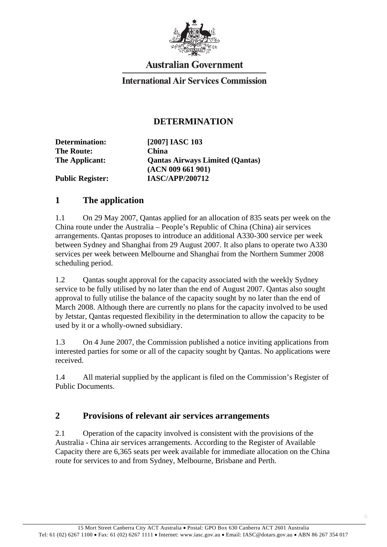

# **Australian Government**

### **International Air Services Commission**

### **DETERMINATION**

**Determination: [2007] IASC 103 The Route: China** 

**The Applicant: Qantas Airways Limited (Qantas) (ACN 009 661 901)** 

**Public Register: IASC/APP/200712** 

#### **1 The application**

1.1 On 29 May 2007, Qantas applied for an allocation of 835 seats per week on the China route under the Australia – People's Republic of China (China) air services arrangements. Qantas proposes to introduce an additional A330-300 service per week between Sydney and Shanghai from 29 August 2007. It also plans to operate two A330 services per week between Melbourne and Shanghai from the Northern Summer 2008 scheduling period.

1.2 Qantas sought approval for the capacity associated with the weekly Sydney service to be fully utilised by no later than the end of August 2007. Qantas also sought approval to fully utilise the balance of the capacity sought by no later than the end of March 2008. Although there are currently no plans for the capacity involved to be used by Jetstar, Qantas requested flexibility in the determination to allow the capacity to be used by it or a wholly-owned subsidiary.

1.3 On 4 June 2007, the Commission published a notice inviting applications from interested parties for some or all of the capacity sought by Qantas. No applications were received.

1.4 All material supplied by the applicant is filed on the Commission's Register of Public Documents.

## **2 Provisions of relevant air services arrangements**

2.1 Operation of the capacity involved is consistent with the provisions of the Australia - China air services arrangements. According to the Register of Available Capacity there are 6,365 seats per week available for immediate allocation on the China route for services to and from Sydney, Melbourne, Brisbane and Perth.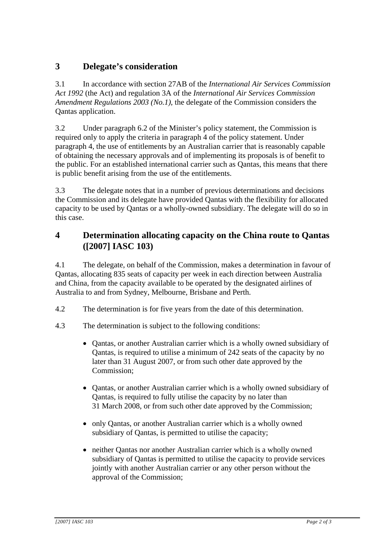# **3 Delegate's consideration**

3.1 In accordance with section 27AB of the *International Air Services Commission Act 1992* (the Act) and regulation 3A of the *International Air Services Commission Amendment Regulations 2003 (No.1)*, the delegate of the Commission considers the Qantas application.

3.2 Under paragraph 6.2 of the Minister's policy statement, the Commission is required only to apply the criteria in paragraph 4 of the policy statement. Under paragraph 4, the use of entitlements by an Australian carrier that is reasonably capable of obtaining the necessary approvals and of implementing its proposals is of benefit to the public. For an established international carrier such as Qantas, this means that there is public benefit arising from the use of the entitlements.

3.3 The delegate notes that in a number of previous determinations and decisions the Commission and its delegate have provided Qantas with the flexibility for allocated capacity to be used by Qantas or a wholly-owned subsidiary. The delegate will do so in this case.

## **4 Determination allocating capacity on the China route to Qantas ([2007] IASC 103)**

4.1 The delegate, on behalf of the Commission, makes a determination in favour of Qantas, allocating 835 seats of capacity per week in each direction between Australia and China, from the capacity available to be operated by the designated airlines of Australia to and from Sydney, Melbourne, Brisbane and Perth.

- 4.2 The determination is for five years from the date of this determination.
- 4.3 The determination is subject to the following conditions:
	- Qantas, or another Australian carrier which is a wholly owned subsidiary of Qantas, is required to utilise a minimum of 242 seats of the capacity by no later than 31 August 2007, or from such other date approved by the Commission;
	- Qantas, or another Australian carrier which is a wholly owned subsidiary of Qantas, is required to fully utilise the capacity by no later than 31 March 2008, or from such other date approved by the Commission;
	- only Qantas, or another Australian carrier which is a wholly owned subsidiary of Qantas, is permitted to utilise the capacity;
	- neither Qantas nor another Australian carrier which is a wholly owned subsidiary of Qantas is permitted to utilise the capacity to provide services jointly with another Australian carrier or any other person without the approval of the Commission;